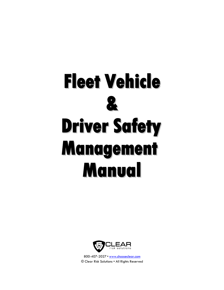



800-407-2027 • [www.chooseclear.com](http://www.chooseclear.com/) © Clear Risk Solutions • All Rights Reserved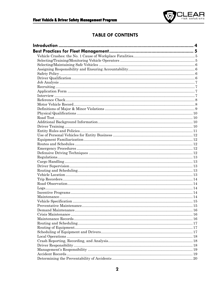

### **TABLE OF CONTENTS**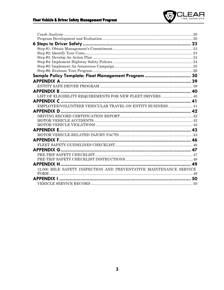### Fleet Vehicle & Driver Safety Management Program



| Sample Policy Template: Fleet Management Program  30               |
|--------------------------------------------------------------------|
|                                                                    |
|                                                                    |
|                                                                    |
| LIST OF ELIGIBILITY REQUIREMENTS FOR NEW FLEET DRIVERS  40         |
|                                                                    |
| EMPLOYEE/VOLUNTEER VEHICULAR TRAVEL ON ENTITY BUSINESS  41         |
|                                                                    |
|                                                                    |
|                                                                    |
|                                                                    |
|                                                                    |
|                                                                    |
|                                                                    |
|                                                                    |
|                                                                    |
|                                                                    |
|                                                                    |
|                                                                    |
| 12,000 MILE SAFETY INSPECTION AND PREVENTATIVE MAINTENANCE SERVICE |
|                                                                    |
|                                                                    |
|                                                                    |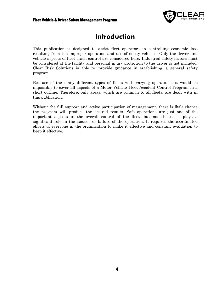

# **Introduction**

<span id="page-3-0"></span>This publication is designed to assist fleet operators in controlling economic loss resulting from the improper operation and use of entity vehicles. Only the driver and vehicle aspects of fleet crash control are considered here. Industrial safety factors must be considered at the facility and personal injury protection to the driver is not included. Clear Risk Solutions is able to provide guidance in establishing a general safety program.

Because of the many different types of fleets with varying operations, it would be impossible to cover all aspects of a Motor Vehicle Fleet Accident Control Program in a short outline. Therefore, only areas, which are common to all fleets, are dealt with in this publication.

Without the full support and active participation of management, there is little chance the program will produce the desired results. Safe operations are just one of the important aspects in the overall control of the fleet, but nonetheless it plays a significant role in the success or failure of the operation. It requires the coordinated efforts of everyone in the organization to make it effective and constant evaluation to keep it effective.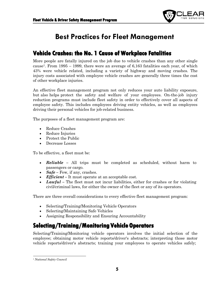

# **Best Practices for Fleet Management**

## <span id="page-4-1"></span><span id="page-4-0"></span>**Vehicle Crashes: the No. 1 Cause of Workplace Fatalities**

More people are fatally injured on the job due to vehicle crashes than any other single cause<sup>1</sup>. From 1995 – 1999, there were an average of 6,163 fatalities each year, of which 43% were vehicle related, including a variety of highway and moving crashes. The injury costs associated with employee vehicle crashes are generally three times the cost of other workplace injuries.

An effective fleet management program not only reduces your auto liability exposure, but also helps protect the safety and welfare of your employees. On-the-job injury reduction programs must include fleet safety in order to effectively cover all aspects of employee safety. This includes employees driving entity vehicles, as well as employees driving their personal vehicles for job-related business.

The purposes of a fleet management program are:

- Reduce Crashes
- Reduce Injuries
- Protect the Public
- Decrease Losses

To be effective, a fleet must be:

- *Reliable –* All trips must be completed as scheduled, without harm to passengers or cargo.
- $Safe Few$ , if any, crashes.
- *Efficient* It must operate at an acceptable cost.
- *Lawful* The fleet must not incur liabilities, either for crashes or for violating civil/criminal laws, for either the owner of the fleet or any of its operators.

There are three overall considerations to every effective fleet management program:

- Selecting/Training/Monitoring Vehicle Operators
- Selecting/Maintaining Safe Vehicles
- Assigning Responsibility and Ensuring Accountability

# <span id="page-4-2"></span>**Selecting/Training/Monitoring Vehicle Operators**

Selecting/Training/Monitoring vehicle operators involves the initial selection of the employee; obtaining motor vehicle reports/driver's abstracts; interpreting those motor vehicle reports/driver's abstracts; training your employees to operate vehicles safely;

<span id="page-4-3"></span>*<sup>1</sup> National Safety Council*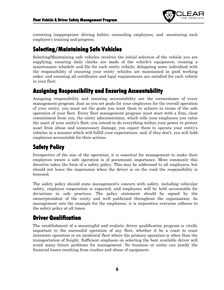

correcting inappropriate driving habits; counseling employees; and monitoring each employee's training and progress.

# <span id="page-5-0"></span>**Selecting/Maintaining Safe Vehicles**

Selecting/Maintaining safe vehicles involves the initial selection of the vehicle you are supplying; ensuring daily checks are made of the vehicle's equipment; creating a maintenance schedule and file for each entity vehicle; delegating some individual with the responsibility of ensuring your entity vehicles are maintained in good working order; and ensuring all certificates and legal requirements are satisfied for each vehicle in your fleet.

### <span id="page-5-1"></span>**Assigning Responsibility and Ensuring Accountability**

Assigning responsibility and ensuring accountability are the cornerstones of every management program. Just as you set goals for your employees for the overall operation of your entity, you must set the goals you want them to achieve in terms of the safe operation of your fleet. Every fleet management program must start with a firm, clear commitment from you, the entity administration, which tells your employees you value the asset of your entity's fleet; you intend to do everything within your power to protect asset from abuse and unnecessary damage; you expect them to operate your entity's vehicles in a manner which will fulfill your expectations, and; if they don't, you will hold employees accountable for their actions.

# <span id="page-5-2"></span>**Safety Policy**

Irrespective of the size of the operation, it is essential for management to make their employees aware a safe operation is of paramount importance. More commonly this directive takes the form of a safety policy. This may be addressed to all employees, but should not leave the impression when the driver is on the road the responsibility is lessened.

The safety policy should state management's concern with safety, including vehicular safety, employee cooperation is expected, and employees will be held accountable for deviations in safe practices. The policy statement should be signed by the owner/president of the entity and well publicized throughout the organization. As management sets the example for the employees, it is imperative everyone adheres to the safety policy at all times.

## <span id="page-5-3"></span>**Driver Qualification**

The establishment of a meaningful and realistic driver qualification program is vitally important to the successful operation of any fleet, whether it be a coast to coast interstate operation or an incidental fleet where the primary operation is other than the transportation of freight. Sufficient emphasis on selecting the best available driver will avoid many future problems for management. No business or entity can justify the financial losses resulting from crashes and abuse of equipment.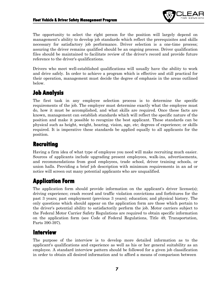

The opportunity to select the right person for the position will largely depend on management's ability to develop job standards which reflect the prerequisites and skills necessary for satisfactory job performance. Driver selection is a one-time process; assuring the driver remains qualified should be an ongoing process. Driver qualification files should be maintained to facilitate review of the driver's record and provide future reference to the driver's qualifications.

Drivers who meet well-established qualifications will usually have the ability to work and drive safely. In order to achieve a program which is effective and still practical for their operation, management must decide the degree of emphasis in the areas outlined below.

# <span id="page-6-0"></span>**Job Analysis**

The first task in any employee selection process is to determine the specific requirements of the job. The employer must determine exactly what the employee must do, how it must be accomplished, and what skills are required. Once these facts are known, management can establish standards which will reflect the specific nature of the position and make it possible to recognize the best applicant. These standards can be physical such as height, weight, hearing, vision, age, etc; degrees of experience; or skills required. It is imperative these standards be applied equally to all applicants for the position.

# <span id="page-6-1"></span>**Recruiting**

Having a firm idea of what type of employee you need will make recruiting much easier. Sources of applicants include upgrading present employees, walk-ins, advertisements, and recommendations from good employees, trade school, driver training schools, or union halls. Providing a brief job description with minimum requirements in an ad or notice will screen out many potential applicants who are unqualified.

# <span id="page-6-2"></span>**Application Form**

The application form should provide information on the applicant's driver license(s); driving experience; crash record and traffic violation convictions and forfeitures for the past 3 years; past employment (previous 3 years); education; and physical history. The only questions which should appear on the application form are those which pertain to the driver's potential ability to satisfactorily perform the job. Motor carriers subject to the Federal Motor Carrier Safety Regulations are required to obtain specific information on the application form (see Code of Federal Regulations, Title 49, Transportation, Parts 390-397).

### <span id="page-6-3"></span>**Interview**

The purpose of the interview is to develop more detailed information as to the applicant's qualifications and experience as well as his or her general suitability as an employee. A standard interview pattern should be followed for a given job classification in order to obtain all desired information and to afford a means of comparison between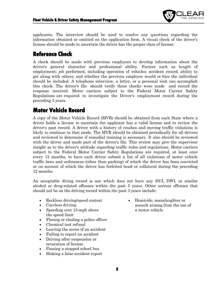

applicants. The interview should be used to resolve any questions regarding the information obtained or omitted on the application form. A visual check of the driver's license should be made to ascertain the driver has the proper class of license.

## <span id="page-7-0"></span>**Reference Check**

A check should be made with previous employers to develop information about the driver's general character and professional ability. Factors such as length of employment; job performed, including operation of vehicles; accident record; ability to get along with others; and whether the previous employer would re-hire the individual should be included. A telephone interview, a letter, or a personal visit can accomplish this check. The driver's file should verify these checks were made and record the response received. Motor carriers subject to the Federal Motor Carrier Safety Regulations are required to investigate the Driver's employment record during the preceding 3 years.

## <span id="page-7-1"></span>**Motor Vehicle Record**

A copy of the Motor Vehicle Record (MVR) should be obtained from each State where a driver holds a license to ascertain the applicant has a valid license and to review the driver's past record. A driver with a history of crashes and moving traffic violations is likely to continue in that mode. The MVR should be obtained periodically for all drivers and reviewed to determine if remedial training is necessary. It also should be reviewed with the driver and made part of the driver's file. This review may give the supervisor insight as to the driver's attitude regarding traffic rules and regulations. Motor carriers subject to the Federal Motor Carrier Safety Regulations are required, at least once every 12 months, to have each driver submit a list of all violations of motor vehicle traffic laws and ordinances (other than parking) of which the driver has been convicted or on account of which the driver has forfeited bond or collateral during the preceding 12 months.

An acceptable diving record is one which does not have any DUI, DWI, or similar alcohol or drug-related offenses within the past 5 years. Other serious offenses that should not be on the driving record within the past 3 years include:

- Reckless driving/speed contest
- Careless driving
- Speeding over 15-mph above the speed limit
- Fleeing or eluding a police officer
- Chemical test refusal
- Leaving the scene of an accident
- Failing to report an accident
- Driving after suspension or revocation of license
- Passing a stopped school bus
- Making a false accident report

• Homicide, manslaughter or assault arising from the use of a motor vehicle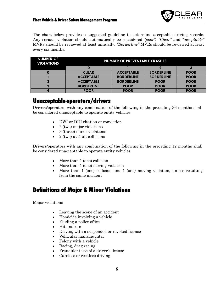

The chart below provides a suggested guideline to determine acceptable driving records. Any serious violation should automatically be considered *"poor". "Clear"* and *"acceptable"* MVRs should be reviewed at least annually. *"Borderline"* MVRs should be reviewed at least every six months.

| <b>NUMBER OF</b><br><b>VIOLATIONS</b> | <b>NUMBER OF PREVENTABLE CRASHES</b> |                   |                   |             |
|---------------------------------------|--------------------------------------|-------------------|-------------------|-------------|
|                                       |                                      |                   |                   |             |
|                                       | <b>CLEAR</b>                         | <b>ACCEPTABLE</b> | <b>BORDERLINE</b> | <b>POOR</b> |
|                                       | <b>ACCEPTABLE</b>                    | <b>BORDERLINE</b> | <b>BORDERLINE</b> | <b>POOR</b> |
|                                       | <b>ACCEPTABLE</b>                    | <b>BORDERLINE</b> | <b>POOR</b>       | <b>POOR</b> |
|                                       | <b>BORDERLINE</b>                    | <b>POOR</b>       | <b>POOR</b>       | <b>POOR</b> |
|                                       | <b>POOR</b>                          | <b>POOR</b>       | <b>POOR</b>       | <b>POOR</b> |

### **Unacceptable operators/drivers**

Drivers/operators with any combination of the following in the preceding 36 months shall be considered unacceptable to operate entity vehicles:

- DWI or DUI citation or conviction
- 2 (two) major violations
- 3 (three) minor violations
- 2 (two) at-fault collisions

Drivers/operators with any combination of the following in the preceding 12 months shall be considered unacceptable to operate entity vehicles:

- More than 1 (one) collision
- More than 1 (one) moving violation
- More than 1 (one) collision and 1 (one) moving violation, unless resulting from the same incident

### <span id="page-8-0"></span>**Definitions of Major & Minor Violations**

Major violations

- Leaving the scene of an accident
- Homicide involving a vehicle
- Eluding a police office
- Hit and run
- Driving with a suspended or revoked license
- Vehicular manslaughter
- Felony with a vehicle
- Racing, drag racing
- Fraudulent use of a driver's license
- Careless or reckless driving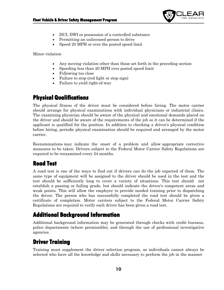

- DUI, DWI or possession of a controlled substance
- Permitting an unlicensed person to drive
- Speed 20 MPH or over the posted speed limit

Minor violation

- Any moving violation other than those set forth in the preceding section
- Speeding less than 20 MPH over posted speed limit
- Following too close
- Failure to stop (red light or stop sign)
- Failure to yield right-of-way

# <span id="page-9-0"></span>**Physical Qualifications**

The physical fitness of the driver must be considered before hiring. The motor carrier should arrange for physical examinations with individual physicians or industrial clinics. The examining physician should be aware of the physical and emotional demands placed on the driver and should be aware of the requirements of the job so it can be determined if the applicant is qualified for the position. In addition to checking a driver's physical condition before hiring, periodic physical examination should be required and arranged by the motor carrier.

Reexaminations may indicate the onset of a problem and allow appropriate corrective measures to be taken. Drivers subject to the Federal Motor Carrier Safety Regulations are required to be reexamined every 24 months.

## <span id="page-9-1"></span>**Road Test**

A road test is one of the ways to find out if drivers can do the job expected of them. The same type of equipment will be assigned to the driver should be used in the test and the test should be sufficiently long to cover a variety of situations. This test should not establish a passing or failing grade, but should indicate the driver's competent areas and weak points. This will allow the employer to provide needed training prior to dispatching the driver. The person who has successfully completed the road test should be given a certificate of completion. Motor carriers subject to the Federal Motor Carrier Safety Regulations are required to verify each driver has been given a road test.

# <span id="page-9-2"></span>**Additional Background Information**

Additional background information may be generated through checks with credit bureaus, police departments (where permissible), and through the use of professional investigative agencies.

## <span id="page-9-3"></span>**Driver Training**

Training must supplement the driver selection program, as individuals cannot always be selected who have all the knowledge and skills necessary to perform the job in the manner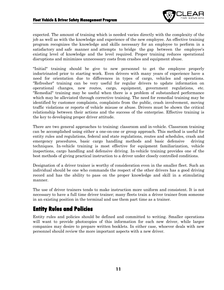

expected. The amount of training which is needed varies directly with the complexity of the job as well as with the knowledge and experience of the new employee. An effective training program recognizes the knowledge and skills necessary for an employee to perform in a satisfactory and safe manner and attempts to bridge the gap between the employee's existing level of knowledge and the level required. Proper training reduces operational disruptions and minimizes unnecessary costs from crashes and equipment abuse.

"Initial" training should be give to new personnel to get the employee properly indoctrinated prior to starting work. Even drivers with many years of experience have a need for orientation due to differences in types of cargo, vehicles and operations. "Refresher" training can be very useful for regular drivers to update information on operational changes, new routes, cargo, equipment, government regulations, etc. "Remedial" training may be useful when there is a problem of substandard performance which may be alleviated through corrective training. The need for remedial training may be identified by customer complaints, complaints from the public, crash involvement, moving traffic violations or reports of vehicle misuse or abuse. Drivers must be shown the critical relationship between their actions and the success of the enterprise. Effective training is the key to developing proper driver attitude.

There are two general approaches to training: classroom and in-vehicle. Classroom training can be accomplished using either a one-on-one or group approach. This method is useful for entity rules and regulations, federal and state regulations, routes and schedules, crash and emergency procedures, basic cargo handling methods and basic defensive driving techniques. In-vehicle training is most effective for equipment familiarization, vehicle inspections, cargo handling and defensive driving. In-vehicle training provides one of the best methods of giving practical instruction to a driver under closely controlled conditions.

Designation of a driver trainer is worthy of consideration even in the smaller fleet. Such an individual should be one who commands the respect of the other drivers has a good driving record and has the ability to pass on the proper knowledge and skill in a stimulating manner.

The use of driver trainers tends to make instruction more uniform and consistent. It is not necessary to have a full time driver trainer; many fleets train a driver trainer from someone in an existing position in the terminal and use them part time as a trainer.

## <span id="page-10-0"></span>**Entity Rules and Policies**

Entity rules and policies should be defined and committed to writing. Smaller operations will want to provide photocopies of this information for each new driver, while larger companies may desire to prepare written booklets. In either case, whoever deals with new personnel should review the more important aspects with a new driver.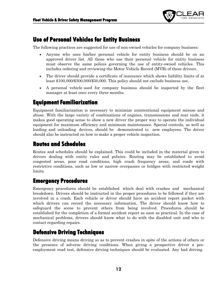

### <span id="page-11-0"></span>**Use of Personal Vehicles for Entity Business**

The following practices are suggested for use of non-owned vehicles for company business:

- Anyone who uses his/her personal vehicle for entity business should be on an approved driver list. All those who use their personal vehicle for entity business must observe the same polices governing the use of entity-owned vehicles. This includes ordering and reviewing the Motor Vehicle Record (MVR) of these drivers.
- The driver should provide a certificate of insurance which shows liability limits of at least \$100,000/\$300,000/\$50,000. This policy should not exclude business use.
- A personal vehicle used for company business should be inspected by the fleet manager at least once every three months.

### <span id="page-11-1"></span>**Equipment Familiarization**

Equipment familiarization is necessary to minimize unintentional equipment misuse and abuse. With the large variety of combinations of engines, transmissions and rear ends, it makes good operating sense to show a new driver the proper way to operate the individual equipment for maximum efficiency and minimum maintenance. Special controls, as well as loading and unloading devices, should be demonstrated to new employees. The driver should also be instructed on how to make a proper vehicle inspection.

## <span id="page-11-2"></span>**Routes and Schedules**

Routes and schedules should be explained. This could be included in the material given to drivers dealing with entity rules and policies. Routing may be established to avoid congested areas, poor road conditions, high crash frequency areas, and roads with restrictive conditions, such as low or narrow overpasses or bridges with restricted weight limits.

## <span id="page-11-3"></span>**Emergency Procedures**

Emergency procedures should be established which deal with crashes and mechanical breakdown. Drivers should be instructed in the proper procedures to be followed if they are involved in a crash. Each vehicle or driver should have an accident report packet with which drivers can record the necessary information. The driver should know how to safeguard the scene to prevent others from being involved. Procedures should be established for the completion of a formal accident report as soon as practical. In the case of mechanical problems, drivers should know what to do with the disabled unit and who to contact regarding repairs.

## <span id="page-11-4"></span>**Defensive Driving Techniques**

Defensive driving means driving so as to prevent crashes in spite of the actions of others or the presence of adverse driving conditions. When giving a prospective driver a preemployment road test, defensive driving techniques should be evaluated. Any bad driving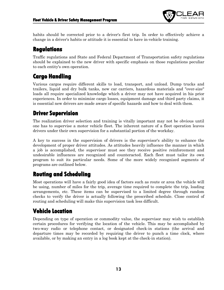

habits should be corrected prior to a driver's first trip. In order to effectively achieve a change in a driver's habits or attitude it is essential to have in-vehicle training.

# <span id="page-12-0"></span>**Regulations**

Traffic regulations and State and Federal Department of Transportation safety regulations should be explained to the new driver with specific emphasis on those regulations peculiar to each entity's own operation.

# <span id="page-12-1"></span>**Cargo Handling**

Various cargos require different skills to load, transport, and unload. Dump trucks and trailers, liquid and dry bulk tanks, new car carriers, hazardous materials and "over-size" loads all require specialized knowledge which a driver may not have acquired in his prior experiences. In order to minimize cargo losses, equipment damage and third party claims, it is essential new drivers are made aware of specific hazards and how to deal with them.

# <span id="page-12-2"></span>**Driver Supervision**

The realization driver selection and training is vitally important may not be obvious until one has to supervise a motor vehicle fleet. The inherent nature of a fleet operation leaves drivers under their own supervision for a substantial portion of the workday.

A key to success in the supervision of drivers is the supervisor's ability to enhance the development of proper driver attitudes. As attitudes heavily influence the manner in which a job is accomplished, the supervisor must see they receive positive reinforcement and undesirable influences are recognized and counteracted. Each fleet must tailor its own program to suit its particular needs. Some of the more widely recognized segments of programs are outlined below.

# <span id="page-12-3"></span>**Routing and Scheduling**

Most operations will have a fairly good idea of factors such as route or area the vehicle will be using, number of miles for the trip, average time required to complete the trip, loading arrangements, etc. These items can be supervised to a limited degree through random checks to verify the driver is actually following the prescribed schedule. Close control of routing and scheduling will make this supervision task less difficult.

# <span id="page-12-4"></span>**Vehicle Location**

Depending on type of operation or commodity value, the supervisor may wish to establish certain procedures for verifying the location of the vehicle. This may be accomplished by two-way radio or telephone contact, or designated check-in stations (the arrival and departure times may be recorded by requiring the driver to punch a time clock, where available, or by making an entry in a log book kept at the check-in station).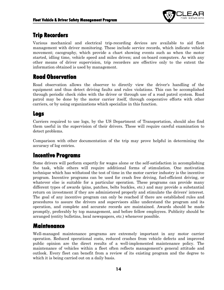

# <span id="page-13-0"></span>**Trip Recorders**

Various mechanical and electrical trip-recording devices are available to aid fleet management with driver monitoring. These include service records, which indicate vehicle movement; cacography, which provide a chart showing events such as when the motor started, idling time, vehicle speed and miles driven; and on-board computers. As with any other means of driver supervision, trip recorders are effective only to the extent the information obtained is used by management.

## <span id="page-13-1"></span>**Road Observation**

Road observation allows the observer to directly view the driver's handling of the equipment and thus detect driving faults and rules violations. This can be accomplished through periodic check rides with the driver or through use of a road patrol system. Road patrol may be done by the motor carrier itself, through cooperative efforts with other carriers, or by using organizations which specialize in this function.

### <span id="page-13-2"></span>**Logs**

Carriers required to use logs, by the US Department of Transportation, should also find them useful in the supervision of their drivers. These will require careful examination to detect problems.

Comparison with other documentation of the trip may prove helpful in determining the accuracy of log entries.

# <span id="page-13-3"></span>**Incentive Programs**

Some drivers will perform expertly for wages alone or the self-satisfaction in accomplishing the task, while others will require additional forms of stimulation. One motivation technique which has withstood the test of time in the motor carrier industry is the incentive program. Incentive programs can be used for crash free driving, fuel-efficient driving, or whatever else is suitable for a particular operation. These programs can provide many different types of awards (pins, patches, belts buckles, etc.) and may provide a substantial return on investment if they are administered properly and stimulate the drivers' interest. The goal of any incentive program can only be reached if there are established rules and procedures to assure the drivers and supervisors alike understand the program and its operation, and complete and accurate records are maintained. Awards should be made promptly, preferably by top management, and before fellow employees. Publicity should be arranged (entity bulletins, local newspapers, etc.) whenever possible.

### <span id="page-13-4"></span>**Maintenance**

Well-managed maintenance programs are extremely important in any motor carrier operation. Reduced operational costs, reduced crashes from vehicle defects and improved public opinion are the direct results of a well-implemented maintenance policy. The maintenance of vehicles within a fleet often reflects management's general attitude and outlook. Every fleet can benefit from a review of its existing program and the degree to which it is being carried out on a daily basis.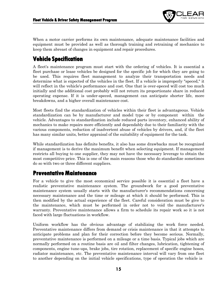

When a motor carrier performs its own maintenance, adequate maintenance facilities and equipment must be provided as well as thorough training and retraining of mechanics to keep them abreast of changes in equipment and repair procedures.

# <span id="page-14-0"></span>**Vehicle Specification**

A fleet's maintenance program must start with the ordering of vehicles. It is essential a fleet purchase or lease vehicles be designed for the specific job for which they are going to be used. This requires fleet management to analyze their transportation needs and determine what is expected of the vehicles in the fleet. If a vehicle is improperly "speced," it will reflect in the vehicle's performance and cost. One that is over-speced will cost too much initially and the additional cost probably will not return its proportionate share in reduced operating expense. If it is under-speced, management can anticipate shorter life, more breakdowns, and a higher overall maintenance cost.

Most fleets find the standardization of vehicles within their fleet is advantageous. Vehicle standardization can be by manufacturer and model type or by component within the vehicle. Advantages to standardization include reduced parts inventory, enhanced ability of mechanics to make repairs more efficiently and dependably due to their familiarity with the various components, reduction of inadvertent abuse of vehicles by drivers, and, if the fleet has many similar units, better appraisal of the suitability of equipment for the task.

While standardization has definite benefits, it also has some drawbacks must be recognized if management is to derive the maximum benefit when selecting equipment. If management restricts all buying to one supplier, they may not have the necessary leverage to obtain the most competitive price. This is one of the main reasons those who do standardize sometimes do so with two or three different suppliers.

### <span id="page-14-1"></span>**Preventative Maintenance**

For a vehicle to give the most economical service possible it is essential a fleet have a realistic preventative maintenance system. The groundwork for a good preventative maintenance system usually starts with the manufacturer's recommendations concerning necessary maintenance and the time or mileage at which it should be performed. This is then modified by the actual experience of the fleet. Careful consideration must be give to the maintenance, which must be performed in order not to void the manufacturer's warranty. Preventative maintenance allows a firm to schedule its repair work so it is not faced with large fluctuations in workflow.

Uniform workflow has the obvious advantage of stabilizing the work force needed. Preventative maintenance differs from demand or crisis maintenance in that it attempts to anticipate problems and plan for their correction before they become serious. Normally, preventative maintenance is performed on a mileage or a time basis. Typical jobs which are normally performed on a routine basis are oil and filter changes, lubrication, tightening of components, engine tune-ups, brake jobs, tire rotation, replacement of specific engine hoses, radiator maintenance, etc. The preventative maintenance interval will vary from one fleet to another depending on the initial vehicle specifications, type of operation the vehicle is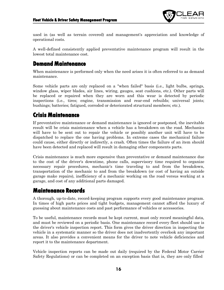

used in (as well as terrain covered) and management's appreciation and knowledge of operational costs.

A well-defined consistently applied preventative maintenance program will result in the lowest total maintenance cost.

## <span id="page-15-0"></span>**Demand Maintenance**

When maintenance is performed only when the need arises it is often referred to as demand maintenance.

Some vehicle parts are only replaced on a "when failed" basis (i.e., light bulbs, springs, window glass, wiper blades, air lines, wiring, gauges, seat cushions, etc.). Other parts will be replaced or repaired when they are worn and this wear is detected by periodic inspections (i.e., tires; engine, transmission and rear-end rebuilds; universal joints; bushings; batteries; fatigued, corroded or deteriorated structural members; etc.).

## <span id="page-15-1"></span>**Crisis Maintenance**

If preventative maintenance or demand maintenance is ignored or postponed, the inevitable result will be crisis maintenance when a vehicle has a breakdown on the road. Mechanics will have to be sent out to repair the vehicle or possibly another unit will have to be dispatched to replace the one having problems. In extreme cases the mechanical failure could cause, either directly or indirectly, a crash. Often times the failure of an item should have been detected and replaced will result in damaging other components parts.

Crisis maintenance is much more expensive than preventative or demand maintenance due to the cost of the driver's downtime, phone calls, supervisory time required to organize necessary repair procedures, mechanic's time traveling to and from the breakdown, transportation of the mechanic to and from the breakdown (or cost of having an outside garage make repairs), inefficiency of a mechanic working on the road versus working at a garage, and cost of any additional parts damaged.

### <span id="page-15-2"></span>**Maintenance Records**

A thorough, up-to-date, record-keeping program supports every good maintenance program. In times of high parts prices and tight budgets, management cannot afford the luxury of guessing about maintenance costs and past performance of vehicles or accessories.

To be useful, maintenance records must be kept current, must only record meaningful data, and must be reviewed on a periodic basis. One maintenance record every fleet should use is the driver's vehicle inspection report. This form gives the driver direction in inspecting the vehicle in a systematic manner so the driver does not inadvertently overlook any important areas. It also provides a convenient means for the driver to note vehicle deficiencies and report it to the maintenance department.

Vehicle inspection reports can be made out daily (required by the Federal Motor Carrier Safety Regulations) or can be completed on an exception basis that is, they are only filled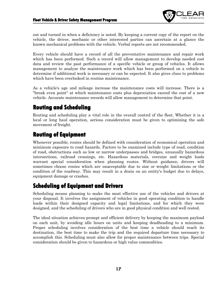

out and turned in when a deficiency is noted. By keeping a current copy of the report on the vehicle, the driver, mechanic or other interested parties can ascertain at a glance the known mechanical problems with the vehicle. Verbal reports are not recommended.

Every vehicle should have a record of all the preventative maintenance and repair work which has been performed. Such a record will allow management to develop needed cost data and review the past performance of a specific vehicle or group of vehicles. It allows management to analyze the maintenance work which has been performed on a vehicle to determine if additional work is necessary or can be expected. It also gives clues to problems which have been overlooked in routine maintenance.

As a vehicle's age and mileage increase the maintenance costs will increase. There is a "break even point" at which maintenance costs plus depreciation exceed the cost of a new vehicle. Accurate maintenance records will allow management to determine that point.

## <span id="page-16-0"></span>**Routing and Scheduling**

Routing and scheduling play a vital role in the overall control of the fleet. Whether it is a local or long haul operation, serious consideration must be given to optimizing the safe movement of freight.

## <span id="page-16-1"></span>**Routing of Equipment**

Whenever possible, routes should be defined with consideration of economical operation and minimum exposure to road hazards. Factors to be examined include type of road, condition of road, obstructions such as low or narrow underpasses and bridges, unusually hazardous intersections, railroad crossings, etc. Hazardous materials, oversize and weight loads warrant special consideration when planning routes. Without guidance, drivers will sometimes choose routes which are unacceptable due to size or weight limitations or the condition of the roadway. This may result in a drain on an entity's budget due to delays, equipment damage or crashes.

## <span id="page-16-2"></span>**Scheduling of Equipment and Drivers**

Scheduling means planning to make the most effective use of the vehicles and drivers at your disposal. It involves the assignment of vehicles in good operating condition to handle loads within their designed capacity and legal limitations, and for which they were designed, and the scheduling of drivers who are in good physical condition and well rested.

The ideal situation achieves prompt and efficient delivery by keeping the maximum payload on each unit, by avoiding idle hours on units and keeping deadheading to a minimum. Proper scheduling involves consideration of the best time a vehicle should reach its destination, the best time to make the trip and the required departure time necessary to accomplish this. Scheduling must also allow for proper maintenance between trips. Special consideration should be given to hazardous or high value commodities.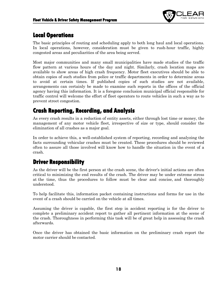

# <span id="page-17-0"></span>**Local Operations**

The basic principles of routing and scheduling apply to both long haul and local operations. In local operations, however, consideration must be given to rush-hour traffic, highly congested areas and peculiarities of the area being served.

Most major communities and many small municipalities have made studies of the traffic flow pattern at various hours of the day and night. Similarly, crash location maps are available to show areas of high crash frequency. Motor fleet executives should be able to obtain copies of such studies from police or traffic departments in order to determine areas to avoid at certain times. If published copies of such studies are not available, arrangements can certainly be made to examine such reports in the offices of the official agency having this information. It is a foregone conclusion municipal official responsible for traffic control will welcome the effort of fleet operators to route vehicles in such a way as to prevent street congestion.

## <span id="page-17-1"></span>**Crash Reporting, Recording, and Analysis**

As every crash results in a reduction of entity assets, either through lost time or money, the management of any motor vehicle fleet, irrespective of size or type, should consider the elimination of all crashes as a major goal.

In order to achieve this, a well-established system of reporting, recording and analyzing the facts surrounding vehicular crashes must be created. These procedures should be reviewed often to assure all those involved will know how to handle the situation in the event of a crash.

## <span id="page-17-2"></span>**Driver Responsibility**

As the driver will be the first person at the crash scene, the driver's initial actions are often critical to minimizing the end results of the crash. The driver may be under extreme stress at the time, thus the procedures to follow must be clear and concise, and thoroughly understood.

To help facilitate this, information packet containing instructions and forms for use in the event of a crash should be carried on the vehicle at all times.

Assuming the driver is capable, the first step in accident reporting is for the driver to complete a preliminary accident report to gather all pertinent information at the scene of the crash. Thoroughness in performing this task will be of great help in assessing the crash afterwards.

Once the driver has obtained the basic information on the preliminary crash report the motor carrier should be contacted.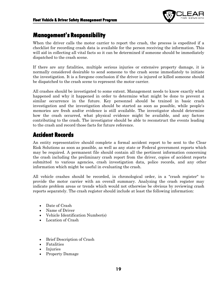

### <span id="page-18-0"></span>**Management's Responsibility**

When the driver calls the motor carrier to report the crash, the process is expedited if a checklist for recording crash data is available for the person receiving the information. This will aid in collecting all vital facts so it can be determined if someone should be immediately dispatched to the crash scene.

If there are any fatalities, multiple serious injuries or extensive property damage, it is normally considered desirable to send someone to the crash scene immediately to initiate the investigation. It is a foregone conclusion if the driver is injured or killed someone should be dispatched to the crash scene to represent the motor carrier.

All crashes should be investigated to some extent. Management needs to know exactly what happened and why it happened in order to determine what might be done to prevent a similar occurrence in the future. Key personnel should be trained in basic crash investigation and the investigation should be started as soon as possible, while people's memories are fresh and/or evidence is still available. The investigator should determine how the crash occurred, what physical evidence might be available, and any factors contributing to the crash. The investigator should be able to reconstruct the events leading to the crash and record those facts for future reference.

### <span id="page-18-1"></span>**Accident Records**

An entity representative should complete a formal accident report to be sent to the Clear Risk Solutions as soon as possible, as well as any state or Federal government reports which may be required. A permanent file should contain all the pertinent information concerning the crash including the preliminary crash report from the driver, copies of accident reports submitted to various agencies, crash investigation data, police records, and any other information which might be useful in evaluating the crash.

All vehicle crashes should be recorded, in chronological order, in a "crash register" to provide the motor carrier with an overall summary. Analyzing the crash register may indicate problem areas or trends which would not otherwise be obvious by reviewing crash reports separately. The crash register should include at least the following information:

- Date of Crash
- Name of Driver
- Vehicle Identification Number(s)
- Location of Crash
- Brief Description of Crash
- Fatalities
- Injuries
- Property Damage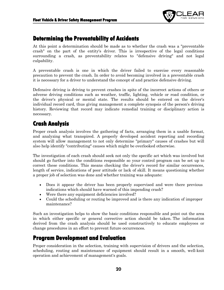

### <span id="page-19-0"></span>**Determining the Preventability of Accidents**

At this point a determination should be made as to whether the crash was a "preventable crash" on the part of the entity's driver. This is irrespective of the legal conditions surrounding a crash, as preventability relates to "defensive driving" and not legal culpability.

A preventable crash is one in which the driver failed to exercise every reasonable precaution to prevent the crash. In order to avoid becoming involved in a preventable crash it is necessary for a driver to understand the concept of and practice defensive driving.

Defensive driving is driving to prevent crashes in spite of the incorrect actions of others or adverse driving conditions such as weather, traffic, lighting, vehicle or road condition, or the driver's physical or mental state. The results should be entered on the driver's individual record card, thus giving management a complete synopsis of the person's driving history. Reviewing that record may indicate remedial training or disciplinary action is necessary.

## <span id="page-19-1"></span>**Crash Analysis**

Proper crash analysis involves the gathering of facts, arranging them in a usable format, and analyzing what transpired. A properly developed accident reporting and recording system will allow management to not only determine "primary" causes of crashes but will also help identify "contributing" causes which might be overlooked otherwise.

The investigation of each crash should seek not only the specific act which was involved but should go further into the conditions responsible so your control program can be set up to correct these conditions. This means checking the driver's record for similar occurrences, length of service, indications of poor attitude or lack of skill. It means questioning whether a proper job of selection was done and whether training was adequate:

- Does it appear the driver has been properly supervised and were there previous indications which should have warned of this impending crash?
- Were there any equipment deficiencies involved?
- Could the scheduling or routing be improved and is there any indication of improper maintenance?

Such an investigation helps to show the basic conditions responsible and point out the area in which either specific or general corrective action should be taken. The information derived from the crash analysis should be used constructively to educate employees or change procedures in an effort to prevent future occurrences.

### <span id="page-19-2"></span>**Program Development and Evaluation**

Proper consideration in the selection, training with supervision of drivers and the selection, scheduling, routing and maintenance of equipment should result in a smooth, well-knit operation and achievement of management's goals.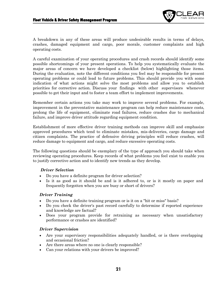

A breakdown in any of these areas will produce undesirable results in terms of delays, crashes, damaged equipment and cargo, poor morale, customer complaints and high operating costs.

A careful examination of your operating procedures and crash records should identify some possible shortcomings of your present operations. To help you systematically evaluate the major areas of concern we have developed a checklist (below) highlighting those items. During the evaluation, note the different conditions you feel may be responsible for present operating problems or could lead to future problems. This should provide you with some indication of what actions might solve the most problems and allow you to establish priorities for corrective action. Discuss your findings with other supervisors whenever possible to get their input and to foster a team effort to implement improvements.

Remember certain actions you take may work to improve several problems. For example, improvement in the preventative maintenance program can help reduce maintenance costs, prolong the life of equipment, eliminate road failures, reduce crashes due to mechanical failure, and improve driver attitude regarding equipment condition.

Establishment of more effective driver training methods can improve skill and emphasize approved procedures which tend to eliminate mistakes, mis-deliveries, cargo damage and citizen complaints. The practice of defensive driving principles will reduce crashes, will reduce damage to equipment and cargo, and reduce excessive operating costs.

The following questions should be exemplary of the type of approach you should take when reviewing operating procedures. Keep records of what problems you feel exist to enable you to justify corrective action and to identify new trends as they develop.

#### *Driver Selection*

- Do you have a definite program for driver selection?
- Is it as good as it should be and is it adhered to, or is it mostly on paper and frequently forgotten when you are busy or short of drivers?

### *Driver Training*

- Do you have a definite training program or is it on a "hit or miss" basis?
- Do you check the driver's past record carefully to determine if reported experience and knowledge are factual?
- Does your program provide for retraining as necessary when unsatisfactory performance or crashes are identified?

#### *Driver Supervision*

- Are your supervisory responsibilities adequately handled, or is there overlapping and occasional friction?
- Are there areas where no one is clearly responsible?
- Can your relations with your drivers be improved?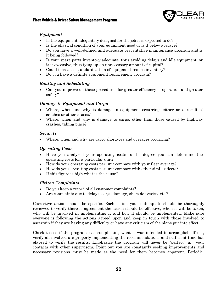

### *Equipment*

- Is the equipment adequately designed for the job it is expected to do?
- Is the physical condition of your equipment good or is it below average?
- Do you have a well-defined and adequate preventative maintenance program and is it being followed?
- Is your spare parts inventory adequate, thus avoiding delays and idle equipment, or is it excessive, thus tying up an unnecessary amount of capital?
- Could increased standardization of equipment reduce inventory?
- Do you have a definite equipment replacement program?

### *Routing and Scheduling*

• Can you improve on these procedures for greater efficiency of operation and greater safety?

### *Damage to Equipment and Cargo*

- Where, when and why is damage to equipment occurring, either as a result of crashes or other causes?
- Where, when and why is damage to cargo, other than those caused by highway crashes, taking place?

### *Security*

Where, when and why are cargo shortages and overages occurring?

### *Operating Costs*

- Have you analyzed your operating costs to the degree you can determine the operating costs for a particular unit?
- How do your operating costs per unit compare with your fleet average?
- How do your operating costs per unit compare with other similar fleets?
- If this figure is high what is the cause?

### *Citizen Complaints*

- Do you keep a record of all customer complaints?
- Are complaints due to delays, cargo damage, short deliveries, etc.?

Corrective action should be specific. Each action you contemplate should be thoroughly reviewed to verify there is agreement the action should be effective, when it will be taken, who will be involved in implementing it and how it should be implemented. Make sure everyone is following the actions agreed upon and keep in touch with those involved to ascertain if they are having any difficulty or have any criticism of the plans put into effect.

Check to see if the program is accomplishing what it was intended to accomplish. If not, verify all involved are properly implementing the recommendations and sufficient time has elapsed to verify the results. Emphasize the program will never be "perfect" in your contacts with other supervisors. Point out you are constantly seeking improvements and necessary revisions must be made as the need for them becomes apparent. Periodic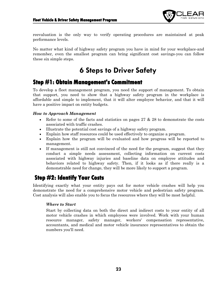

reevaluation is the only way to verify operating procedures are maintained at peak performance levels.

No matter what kind of highway safety program you have in mind for your workplace-and remember, even the smallest program can bring significant cost savings-you can follow these six simple steps.

# **6 Steps to Driver Safety**

### <span id="page-22-1"></span><span id="page-22-0"></span>**Step #1: Obtain Management's Commitment**

To develop a fleet management program, you need the support of management. To obtain that support, you need to show that a highway safety program in the workplace is affordable and simple to implement, that it will alter employee behavior, and that it will have a positive impact on entity budgets.

### *How to Approach Management*

- Refer to some of the facts and statistics on pages 27 & 28 to demonstrate the costs associated with traffic crashes.
- Illustrate the potential cost savings of a highway safety program.
- Explain how staff resources could be used effectively to organize a program.
- Explain how the program will be evaluated and how progress will be reported to management.
- If management is still not convinced of the need for the program, suggest that they conduct a simple needs assessment, collecting information on current costs associated with highway injuries and baseline data on employee attitudes and behaviors related to highway safety. Then, if it looks as if there really is a demonstrable need for change, they will be more likely to support a program.

## <span id="page-22-2"></span>**Step #2: Identify Your Costs**

Identifying exactly what your entity pays out for motor vehicle crashes will help you demonstrate the need for a comprehensive motor vehicle and pedestrian safety program. Cost analysis will also enable you to focus the resources where they will be most helpful.

### *Where to Start*

Start by collecting data on both the direct and indirect costs to your entity of all motor vehicle crashes in which employees were involved. Work with your human resource manager, safety manager, workers' compensation representative, accountants, and medical and motor vehicle insurance representatives to obtain the numbers you'll need.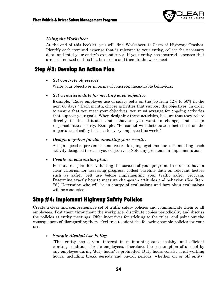

#### *Using the Worksheet*

At the end of this booklet, you will find Worksheet 1: Costs of Highway Crashes. Identify each itemized expense that is relevant to your entity, collect the necessary data, and total your entity's expenditures. If your entity has incurred expenses that are not itemized on this list, be sure to add them to the worksheet.

### <span id="page-23-0"></span>**Step #3: Develop An Action Plan**

#### • *Set concrete objectives*

Write your objectives in terms of concrete, measurable behaviors.

#### • *Set a realistic date for meeting each objective*

Example: "Raise employee use of safety belts on the job from 42% to 50% in the next 60 days." Each month, choose activities that support the objectives. In order to ensure that you meet your objectives, you must arrange for ongoing activities that support your goals. When designing these activities, be sure that they relate directly to the attitudes and behaviors you want to change, and assign responsibilities clearly. Example: "Personnel will distribute a fact sheet on the importance of safety belt use to every employee this week."

#### • *Design a system for documenting your results.*

Assign specific personnel and record-keeping systems for documenting each activity designed to reach your objectives. Note any problems in implementation.

#### • *Create an evaluation plan.*

Formulate a plan for evaluating the success of your program. In order to have a clear criterion for assessing progress, collect baseline data on relevant factors such as safety belt use before implementing your traffic safety program. Determine exactly how to measure changes in attitudes and behavior. (See Step #6.) Determine who will be in charge of evaluations and how often evaluations will be conducted.

### <span id="page-23-1"></span>**Step #4: Implement Highway Safety Policies**

Create a clear and comprehensive set of traffic safety policies and communicate them to all employees. Post them throughout the workplace, distribute copies periodically, and discuss the policies at entity meetings. Offer incentives for sticking to the rules, and point out the consequences of disregarding them. Feel free to adapt the following sample policies for your use.

#### • *Sample Alcohol Use Policy*

"This entity has a vital interest in maintaining safe, healthy, and efficient working conditions for its employees. Therefore, the consumption of alcohol by any employee during 'duty hours' is prohibited. Duty hours consist of all working hours, including break periods and on-call periods, whether on or off entity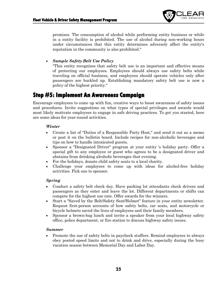

premises. The consumption of alcohol while performing entity business or while in a entity facility is prohibited. The use of alcohol during non-working hours under circumstances that this entity determines adversely affect the entity's reputation in the community is also prohibited."

### • *Sample Safety Belt Use Policy*

"This entity recognizes that safety belt use is an important and effective means of protecting our employees. Employees should always use safety belts while traveling on official business, and employees should operate vehicles only after passengers are buckled up. Establishing mandatory safety belt use is now a policy of the highest priority."

### <span id="page-24-0"></span>**Step #5: Implement An Awareness Campaign**

Encourage employees to come up with fun, creative ways to boost awareness of safety issues and procedures. Invite suggestions on what types of special privileges and awards would most likely motivate employees to engage in safe driving practices. To get you started, here are some ideas for year-round activities.

#### *Winter*

- Create a list of "Duties of a Responsible Party Host," and send it out as a memo or post it on the bulletin board. Include recipes for non-alcoholic beverages and tips on how to handle intoxicated guests.
- Sponsor a "Designated Driver" program at your entity 's holiday party. Offer a special gift to any employee or guest who agrees to be a designated driver and abstains from drinking alcoholic beverages that evening.
- For the holidays, donate child safety seats to a local charity.
- Challenge your employees to come up with ideas for alcohol-free holiday activities. Pick one to sponsor.

### *Spring*

- Conduct a safety belt check day. Have parking lot attendants check drivers and passengers as they enter and leave the lot. Different departments or shifts can compete for the highest use rate. Offer awards for the winners.
- Start a "Saved by the Belt/Safety Seat/Helmet" feature in your entity newsletter. Request first-person accounts of how safety belts, car seats, and motorcycle or bicycle helmets saved the lives of employees and their family members.
- Sponsor a brown-bag lunch and invite a speaker from your local highway safety office, police department, or fire station to discuss highway safety issues.

#### *Summer*

• Promote the use of safety belts in paycheck stuffers. Remind employees to always obey posted speed limits and not to drink and drive, especially during the busy vacation season between Memorial Day and Labor Day.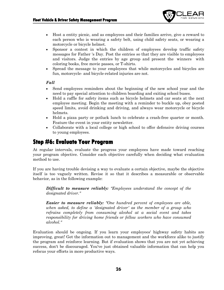

- Host a entity picnic, and as employees and their families arrive, give a reward to each person who is wearing a safety belt, using child safety seats, or wearing a motorcycle or bicycle helmet.
- Sponsor a contest in which the children of employees develop traffic safety messages for Father 's Day. Post the entries so that they are visible to employees and visitors. Judge the entries by age group and present the winners with coloring books, free movie passes, or T-shirts.
- Spread the message to your employees that while motorcycles and bicycles are fun, motorcycle- and bicycle-related injuries are not.

#### *Fall*

- Send employees reminders about the beginning of the new school year and the need to pay special attention to children boarding and exiting school buses.
- Hold a raffle for safety items such as bicycle helmets and car seats at the next employee meeting. Begin the meeting with a reminder to buckle up, obey posted speed limits, avoid drinking and driving, and always wear motorcycle or bicycle helmets.
- Hold a pizza party or potluck lunch to celebrate a crash-free quarter or month. Feature the event in your entity newsletter.
- Collaborate with a local college or high school to offer defensive driving courses to young employees.

### <span id="page-25-0"></span>**Step #6: Evaluate Your Program**

At regular intervals, evaluate the progress your employees have made toward reaching your program objective. Consider each objective carefully when deciding what evaluation method to use.

If you are having trouble devising a way to evaluate a certain objective, maybe the objective itself is too vaguely written. Revise it so that it describes a measurable or observable behavior, as in the following example:

*Difficult to measure reliably: "Employees understand the concept of the designated driver."*

*Easier to measure reliably: "One hundred percent of employees are able, when asked, to define a 'designated driver' as the member of a group who refrains completely from consuming alcohol at a social event and takes responsibility for driving home friends or fellow workers who have consumed alcohol."*

Evaluation should be ongoing. If you learn your employees' highway safety habits are improving, great! Get the information out to management and the workforce alike to justify the program and reinforce learning. But if evaluation shows that you are not yet achieving success, don't be discouraged. You've just obtained valuable information that can help you refocus your efforts in more productive ways.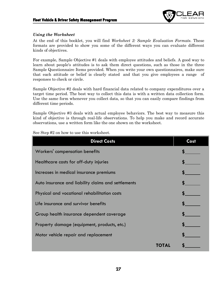

### *Using the Worksheet*

At the end of this booklet, you will find *Worksheet 2: Sample Evaluation Formats*. These formats are provided to show you some of the different ways you can evaluate different kinds of objectives.

For example, Sample Objective #1 deals with employee attitudes and beliefs. A good way to learn about people's attitudes is to ask them direct questions, such as those in the three Sample Questionnaire Items provided. When you write your own questionnaires, make sure that each attitude or belief is clearly stated and that you give employees a range of responses to check or circle.

Sample Objective #2 deals with hard financial data related to company expenditures over a target time period. The best way to collect this data is with a written data collection form. Use the same form whenever you collect data, so that you can easily compare findings from different time periods.

Sample Objective #3 deals with actual employee behaviors. The best way to measure this kind of objective is through real-life observations. To help you make and record accurate observations, use a written form like the one shown on the worksheet.

See Step #2 on how to use this worksheet.

| <b>Direct Costs</b>                                 | Cost |
|-----------------------------------------------------|------|
| Workers' compensation benefits                      |      |
| Healthcare costs for off-duty injuries              |      |
| Increases in medical insurance premiums             |      |
| Auto insurance and liability claims and settlements |      |
| Physical and vocational rehabilitation costs        |      |
| Life insurance and survivor benefits                |      |
| Group health insurance dependent coverage           |      |
| Property damage (equipment, products, etc.)         |      |
| Motor vehicle repair and replacement                |      |
|                                                     |      |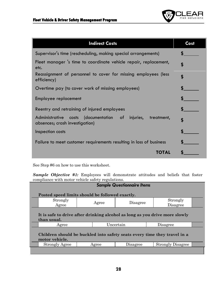

| <b>Indirect Costs</b>                                                                                            | Cost |
|------------------------------------------------------------------------------------------------------------------|------|
| Supervisor's time (rescheduling, making special arrangements)                                                    |      |
| Fleet manager 's time to coordinate vehicle repair, replacement,<br>etc.                                         | \$   |
| Reassignment of personnel to cover for missing employees (less<br>efficiency)                                    | \$   |
| Overtime pay (to cover work of missing employees)                                                                |      |
| Employee replacement                                                                                             |      |
| Reentry and retraining of injured employees                                                                      |      |
| (documentation of<br><b>Administrative</b><br>injuries,<br>costs<br>treatment,<br>absences; crash investigation) | \$   |
| Inspection costs                                                                                                 |      |
| Failure to meet customer requirements resulting in loss of business                                              |      |
| TOTAL                                                                                                            |      |

See Step #6 on how to use this worksheet.

*Sample Objective #1:* Employees will demonstrate attitudes and beliefs that foster compliance with motor vehicle safety regulations.

| <b>Sample Questionnaire Items</b>                                                          |       |           |                                                                          |  |
|--------------------------------------------------------------------------------------------|-------|-----------|--------------------------------------------------------------------------|--|
| Posted speed limits should be followed exactly.                                            |       |           |                                                                          |  |
| Strongly<br>Agree                                                                          | Agree | Disagree  | Strongly<br>Disagree                                                     |  |
| It is safe to drive after drinking alcohol as long as you drive more slowly<br>than usual. |       |           |                                                                          |  |
|                                                                                            |       |           |                                                                          |  |
| Agree                                                                                      |       | Uncertain | Disagree                                                                 |  |
| motor vehicle.                                                                             |       |           | Children should be buckled into safety seats every time they travel in a |  |
| <b>Strongly Agree</b>                                                                      | Agree | Disagree  | <b>Strongly Disagree</b>                                                 |  |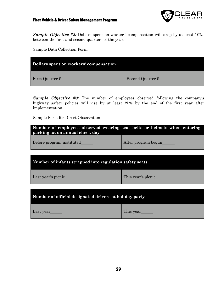

*Sample Objective #2:* Dollars spent on workers' compensation will drop by at least 10% between the first and second quarters of the year.

Sample Data Collection Form

| Dollars spent on workers' compensation |                   |
|----------------------------------------|-------------------|
| First Quarter \$                       | Second Quarter \$ |

*Sample Objective #3:* The number of employees observed following the company's highway safety policies will rise by at least 25% by the end of the first year after implementation.

Sample Form for Direct Observation

| Number of employees observed wearing seat belts or helmets when entering<br>parking lot on annual check day |                     |  |  |
|-------------------------------------------------------------------------------------------------------------|---------------------|--|--|
| Before program instituted                                                                                   | After program begun |  |  |
| Number of infants strapped into regulation safety seats                                                     |                     |  |  |
| Last year's picnic______                                                                                    | This year's picnic  |  |  |
| Number of official designated drivers at holiday party                                                      |                     |  |  |
| Last year                                                                                                   | This year           |  |  |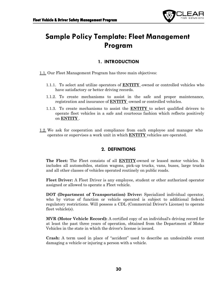

# <span id="page-29-0"></span>**Sample Policy Template: Fleet Management Program**

### **1. INTRODUCTION**

- 1.1. Our Fleet Management Program has three main objectives:
	- 1.1.1. To select and utilize operators of **ENTITY** -owned or controlled vehicles who have satisfactory or better driving records.
	- 1.1.2. To create mechanisms to assist in the safe and proper maintenance, registration and insurance of **ENTITY** -owned or controlled vehicles.
	- 1.1.3. To create mechanisms to assist the **ENTITY** to select qualified drivers to operate fleet vehicles in a safe and courteous fashion which reflects positively on **ENTITY** .
- 1.2. We ask for cooperation and compliance from each employee and manager who operates or supervises a work unit in which **ENTITY** vehicles are operated.

### **2. DEFINITIONS**

**The Fleet:** The Fleet consists of all **ENTITY**-owned or leased motor vehicles. It includes all automobiles, station wagons, pick-up trucks, vans, buses, large trucks and all other classes of vehicles operated routinely on public roads.

**Fleet Driver:** A Fleet Driver is any employee, student or other authorized operator assigned or allowed to operate a Fleet vehicle.

**DOT (Department of Transportation) Driver:** Specialized individual operator, who by virtue of function or vehicle operated is subject to additional federal regulatory restrictions. Will possess a CDL (Commercial Driver's License) to operate fleet vehicle(s).

**MVR (Motor Vehicle Record):** A certified copy of an individual's driving record for at least the past three years of operation, obtained from the Department of Motor Vehicles in the state in which the driver's license is issued.

**Crash:** A term used in place of "accident" used to describe an undesirable event damaging a vehicle or injuring a person with a vehicle.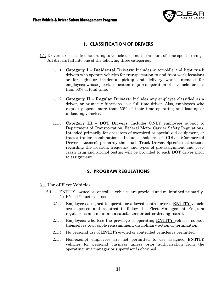

### **1. CLASSIFICATION OF DRIVERS**

- 1.1. Drivers are classified according to vehicle use and the amount of time spent driving. All drivers fall into one of the following three categories:
	- 1.1.1. **Category I – Incidental Drivers:** Includes automobile and light truck drivers who operate vehicles for transportation to and from work locations or for light or incidental pickup and delivery work. Intended for employees whose job classification requires operation of a vehicle for less than 50% of total time.
	- 1.1.2. **Category II – Regular Drivers:** Includes any employee classified as a driver, or primarily functions as a full-time driver. Also, employees who regularly spend more than 50% of their time operating and loading or unloading vehicles.
	- 1.1.3. **Category III – DOT Drivers:** Includes ONLY employees subject to Department of Transportation, Federal Motor Carrier Safety Regulations. Intended primarily for operators of oversized or specialized equipment, or tractor-trailer combinations. Includes holders of CDL (Commercial Driver's License), primarily the Trash Truck Driver. Specific instructions regarding the location, frequency and types of pre-assignment and postcrash drug and alcohol testing will be provided to each DOT driver prior to assignment.

### **2. PROGRAM REGULATIONS**

#### 2.1. **Use of Fleet Vehicles**

- 2.1.1. ENTITY -owned or controlled vehicles are provided and maintained primarily for ENTITY business use.
	- 2.1.2. Employees assigned to operate or allowed control over a **ENTITY** vehicle are expected and required to follow the Fleet Management Program regulations and maintain a satisfactory or better driving record.
	- 2.1.3. Employees who lose the privilege of operating **ENTITY** vehicles subject themselves to possible reassignment, disciplinary action or termination.
	- 2.1.4. No personal use of **ENTITY-**owned or controlled vehicles is permitted.
	- 2.1.5. Non-exempt employees are not permitted to use assigned **ENTITY** vehicles for personal business unless prior authorization from the operating unit manager or supervisor is obtained.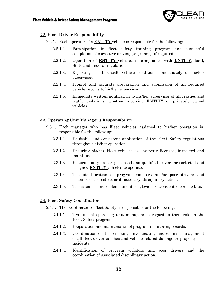

#### 2.2. **Fleet Driver Responsibility**

- 2.2.1. Each operator of a **ENTITY** vehicle is responsible for the following:
	- 2.2.1.1. Participation in fleet safety training program and successful completion of corrective driving program(s), if required.
	- 2.2.1.2. Operation of **ENTITY** vehicles in compliance with **ENTITY**, local, State and Federal regulations.
	- 2.2.1.3. Reporting of all unsafe vehicle conditions immediately to his/her supervisor.
	- 2.2.1.4. Prompt and accurate preparation and submission of all required vehicle reports to his/her supervisor.
	- 2.2.1.5. Immediate written notification to his/her supervisor of all crashes and traffic violations, whether involving **ENTITY** or privately owned vehicles.

#### 2.3. **Operating Unit Manager's Responsibility**

- 2.3.1. Each manager who has Fleet vehicles assigned to his/her operation is responsible for the following:
	- 2.3.1.1. Equitable and consistent application of the Fleet Safety regulations throughout his/her operation.
	- 2.3.1.2. Ensuring his/her Fleet vehicles are properly licensed, inspected and maintained.
	- 2.3.1.3. Ensuring only properly licensed and qualified drivers are selected and assigned **ENTITY** vehicles to operate.
	- 2.3.1.4. The identification of program violators and/or poor drivers and issuance of corrective, or if necessary, disciplinary action.
	- 2.3.1.5. The issuance and replenishment of "glove-box" accident reporting kits.

#### 2.4. **Fleet Safety Coordinator**

- 2.4.1. The coordinator of Fleet Safety is responsible for the following:
	- 2.4.1.1. Training of operating unit managers in regard to their role in the Fleet Safety program.
	- 2.4.1.2. Preparation and maintenance of program monitoring records.
	- 2.4.1.3. Coordination of the reporting, investigating and claims management of all fleet driver crashes and vehicle related damage or property loss incidents.
	- 2.4.1.4. Identification of program violators and poor drivers and the coordination of associated disciplinary action.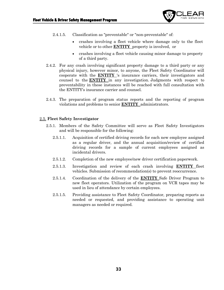

- 2.4.1.5. Classification as "preventable" or "non-preventable" of:
	- crashes involving a fleet vehicle where damage only to the fleet vehicle or to other **ENTITY** property is involved, or
	- crashes involving a fleet vehicle causing minor damage to property of a third party.
- 2.4.2. For any crash involving significant property damage to a third party or any physical injury, however minor, to anyone, the Fleet Safety Coordinator will cooperate with the **ENTITY** 's insurance carriers, their investigators and counsel to the **ENTITY** in any investigation. Judgments with respect to preventability in these instances will be reached with full consultation with the ENTITY's insurance carrier and counsel.
- 2.4.3. The preparation of program status reports and the reporting of program violations and problems to senior **ENTITY** administrators.

### 2.5. **Fleet Safety Investigator**

- 2.5.1. Members of the Safety Committee will serve as Fleet Safety Investigators and will be responsible for the following:
	- 2.5.1.1. Acquisition of certified driving records for each new employee assigned as a regular driver, and the annual acquisition/review of certified driving records for a sample of current employees assigned as incidental drivers.
	- 2.5.1.2. Completion of the new employee/new driver certification paperwork.
	- 2.5.1.3. Investigation and review of each crash involving **ENTITY** fleet vehicles. Submission of recommendation(s) to prevent reoccurrence.
	- 2.5.1.4. Coordination of the delivery of the **ENTITY** Safe Driver Program to new fleet operators. Utilization of the program on VCR tapes may be used in lieu of attendance by certain employees.
	- 2.5.1.5. Providing assistance to Fleet Safety Coordinator, preparing reports as needed or requested, and providing assistance to operating unit managers as needed or required.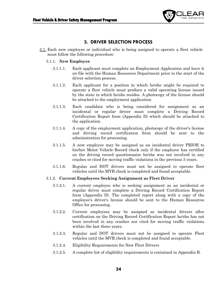

### **3. DRIVER SELECTION PROCESS**

3.1. Each new employee or individual who is being assigned to operate a fleet vehicle must follow the following procedure:

#### 3.1.1. **New Employee**

- 3.1.1.1. Each applicant must complete an Employment Application and have it on file with the Human Resources Department prior to the start of the driver selection process.
- 3.1.1.2. Each applicant for a position in which he/she might be required to operate a fleet vehicle must produce a valid operating license issued by the state in which he/she resides. A photocopy of the license should be attached to the employment application.
- 3.1.1.3. Each candidate who is being considered for assignment as an incidental or regular driver must complete a Driving Record Certification Report form (Appendix D) which should be attached to the application.
- 3.1.1.4. A copy of the employment application, photocopy of the driver's license and driving record certification form should be sent to the administration for processing.
- 3.1.1.5. A new employee may be assigned as an incidental driver PRIOR to his/her Motor Vehicle Record check only if the employee has certified on the driving record questionnaire he/she was not involved in any crashes or cited for moving traffic violations in the previous 3 years.
- 3.1.1.6. Regular and DOT drivers must not be assigned to operate fleet vehicles until the MVR check is completed and found acceptable.

#### 3.1.2. **Current Employees Seeking Assignment as Fleet Driver**

- 3.1.2.1. A current employee who is seeking assignment as an incidental or regular driver must complete a Driving Record Certification Report form (Appendix D). The completed report along with a copy of the employee's driver's license should be sent to the Human Resources Office for processing.
- 3.1.2.2. Current employees may be assigned as incidental drivers after certification on the Driving Record Certification Report he/she has not been involved in any crashes nor cited for moving traffic violations within the last three years.
- 3.1.2.3. Regular and DOT drivers must not be assigned to operate Fleet vehicles until the MVR check is completed and found acceptable.
- 3.1.2.4. Eligibility Requirements for New Fleet Drivers
- 3.1.2.5. A complete list of eligibility requirements is contained in Appendix B.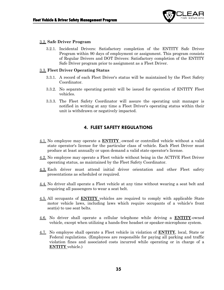

#### 3.2. **Safe Driver Program**

3.2.1. Incidental Drivers: Satisfactory completion of the ENTITY Safe Driver Program within 90 days of employment or assignment. This program consists of Regular Drivers and DOT Drivers: Satisfactory completion of the ENTITY Safe Driver program prior to assignment as a Fleet Driver.

#### 3.3. **Fleet Driver Operating Status**

- 3.3.1. A record of each Fleet Driver's status will be maintained by the Fleet Safety Coordinator.
- 3.3.2. No separate operating permit will be issued for operation of ENTITY Fleet vehicles.
- 3.3.3. The Fleet Safety Coordinator will assure the operating unit manager is notified in writing at any time a Fleet Driver's operating status within their unit is withdrawn or negatively impacted.

### **4. FLEET SAFETY REGULATIONS**

- 4.1. No employee may operate a **ENTITY** -owned or controlled vehicle without a valid state operator's license for the particular class of vehicle. Each Fleet Driver must produce at least annually or upon demand a valid state operator's license.
- 4.2. No employee may operate a Fleet vehicle without being in the ACTIVE Fleet Driver operating status, as maintained by the Fleet Safety Coordinator.
- 4.3. Each driver must attend initial driver orientation and other Fleet safety presentations as scheduled or required.
- 4.4. No driver shall operate a Fleet vehicle at any time without wearing a seat belt and requiring all passengers to wear a seat belt.
- 4.5. All occupants of **ENTITY** vehicles are required to comply with applicable State motor vehicle laws, including laws which require occupants of a vehicle's front seat(s) to use seat belts.
- 4.6. No driver shall operate a cellular telephone while driving a **ENTITY**-owned vehicle, except when utilizing a hands-free headset or speaker-microphone system.
- 4.7. No employee shall operate a Fleet vehicle in violation of **ENTITY**, local, State or Federal regulations. (Employees are responsible for paying all parking and traffic violation fines and associated costs incurred while operating or in charge of a **ENTITY** vehicle.)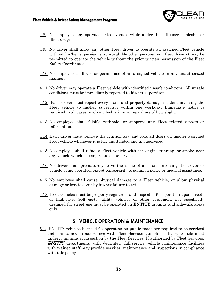

- 4.8. No employee may operate a Fleet vehicle while under the influence of alcohol or illicit drugs.
- 4.9. No driver shall allow any other Fleet driver to operate an assigned Fleet vehicle without his/her supervisor's approval. No other persons (non fleet drivers) may be permitted to operate the vehicle without the prior written permission of the Fleet Safety Coordinator.
- 4.10. No employee shall use or permit use of an assigned vehicle in any unauthorized manner.
- 4.11. No driver may operate a Fleet vehicle with identified unsafe conditions. All unsafe conditions must be immediately reported to his/her supervisor.
- 4.12. Each driver must report every crash and property damage incident involving the Fleet vehicle to his/her supervisor within one workday. Immediate notice is required in all cases involving bodily injury, regardless of how slight.
- 4.13. No employee shall falsify, withhold, or suppress any Fleet related reports or information.
- 4.14. Each driver must remove the ignition key and lock all doors on his/her assigned Fleet vehicle whenever it is left unattended and unsupervised.
- 4.15. No employee shall refuel a Fleet vehicle with the engine running, or smoke near any vehicle which is being refueled or serviced.
- 4.16. No driver shall prematurely leave the scene of an crash involving the driver or vehicle being operated, except temporarily to summon police or medical assistance.
- 4.17. No employee shall cause physical damage to a Fleet vehicle, or allow physical damage or loss to occur by his/her failure to act.
- 4.18. Fleet vehicles must be properly registered and inspected for operation upon streets or highways. Golf carts, utility vehicles or other equipment not specifically designed for street use must be operated on **ENTITY** grounds and sidewalk areas only.

### **5. VEHICLE OPERATION & MAINTENANCE**

5.1. ENTITY vehicles licensed for operation on public roads are required to be serviced and maintained in accordance with Fleet Services guidelines. Every vehicle must undergo an annual inspection by the Fleet Services. If authorized by Fleet Services, ENTITY departments with dedicated, full-service vehicle maintenance facilities with trained staff may provide services, maintenance and inspections in compliance with this policy.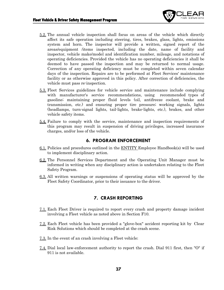

- 5.2. The annual vehicle inspection shall focus on areas of the vehicle which directly affect its safe operation including steering, tires, brakes, glass, lights, emissions system and horn. The inspector will provide a written, signed report of the areas/equipment /items inspected, including the date, name of facility and inspector, vehicle make/model and identification number, mileage, and notations of operating deficiencies. Provided the vehicle has no operating deficiencies it shall be deemed to have passed the inspection and may be returned to normal usage. Correction of any operating deficiency must be completed within seven calendar days of the inspection. Repairs are to be performed at Fleet Services' maintenance facility or as otherwise approved in this policy. After correction of deficiencies, the vehicle must pass re-inspection.
- 5.3. Fleet Services guidelines for vehicle service and maintenance include complying with manufacturer's service recommendations, using recommended types of gasoline; maintaining proper fluid levels (oil, antifreeze coolant, brake and transmission, etc.) and ensuring proper tire pressure; working signals, lights (headlamps, turn-signal lights, tail-lights, brake-lights, etc.), brakes, and other vehicle safety items.
- 5.4. Failure to comply with the service, maintenance and inspection requirements of this program may result in suspension of driving privileges, increased insurance charges, and/or loss of the vehicle.

#### **6. PROGRAM ENFORCEMENT**

- 6.1. Policies and procedures outlined in the ENTITY Employee Handbook(s) will be used to implement disciplinary action.
- 6.2. The Personnel Services Department and the Operating Unit Manager must be informed in writing when any disciplinary action is undertaken relating to the Fleet Safety Program.
- 6.3. All written warnings or suspensions of operating status will be approved by the Fleet Safety Coordinator, prior to their issuance to the driver.

#### **7. CRASH REPORTING**

- 7.1. Each Fleet Driver is required to report every crash and property damage incident involving a Fleet vehicle as noted above in Section F10.
- 7.2. Each Fleet vehicle has been provided a "glove-box" accident reporting kit by Clear Risk Solutions which should be completed at the crash scene.
- 7.3. In the event of an crash involving a Fleet vehicle:
- 7.4. Dial local law-enforcement authority to report the crash. Dial 911 first, then "O" if 911 is not available.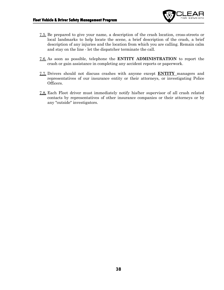

- 7.5. Be prepared to give your name, a description of the crash location, cross-streets or local landmarks to help locate the scene, a brief description of the crash, a brief description of any injuries and the location from which you are calling. Remain calm and stay on the line - let the dispatcher terminate the call.
- 7.6. As soon as possible, telephone the **ENTITY ADMINISTRATION** to report the crash or gain assistance in completing any accident reports or paperwork.
- 7.7. Drivers should not discuss crashes with anyone except **ENTITY** managers and representatives of our insurance entity or their attorneys, or investigating Police Officers.
- 7.8. Each Fleet driver must immediately notify his/her supervisor of all crash related contacts by representatives of other insurance companies or their attorneys or by any "outside" investigators.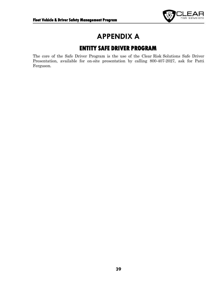

# **APPENDIX A**

# **ENTITY SAFE DRIVER PROGRAM**

<span id="page-38-1"></span><span id="page-38-0"></span>The core of the Safe Driver Program is the use of the Clear Risk Solutions Safe Driver Presentation, available for on-site presentation by calling 800-407-2027, ask for Patti Ferguson.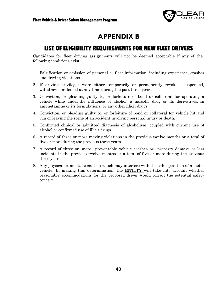

# **APPENDIX B**

### <span id="page-39-0"></span>**LIST OF ELIGIBILITY REQUIREMENTS FOR NEW FLEET DRIVERS**

<span id="page-39-1"></span>Candidates for fleet driving assignments will not be deemed acceptable if any of the following conditions exist:

- 1. Falsification or omission of personal or fleet information, including experience, crashes and driving violations.
- 2. If driving privileges were either temporarily or permanently revoked, suspended, withdrawn or denied at any time during the past three years.
- 3. Conviction, or pleading guilty to, or forfeiture of bond or collateral for operating a vehicle while under the influence of alcohol, a narcotic drug or its derivatives, an amphetamine or its formulations, or any other illicit drugs.
- 4. Conviction, or pleading guilty to, or forfeiture of bond or collateral for vehicle hit and run or leaving the scene of an accident involving personal injury or death.
- 5. Confirmed clinical or admitted diagnosis of alcoholism, coupled with current use of alcohol or confirmed use of illicit drugs.
- 6. A record of three or more moving violations in the previous twelve months or a total of five or more during the previous three years.
- 7. A record of three or more preventable vehicle crashes or property damage or loss incidents in the previous twelve months or a total of five or more during the previous three years.
- 8. Any physical or mental condition which may interfere with the safe operation of a motor vehicle. In making this determination, the **ENTITY** will take into account whether reasonable accommodations for the proposed driver would correct the potential safety concern.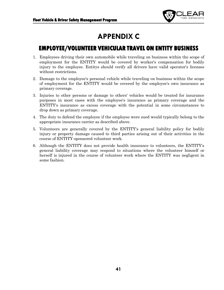

# **APPENDIX C**

## <span id="page-40-1"></span><span id="page-40-0"></span>**EMPLOYEE/VOLUNTEER VEHICULAR TRAVEL ON ENTITY BUSINESS**

- 1. Employees driving their own automobile while traveling on business within the scope of employment for the ENTITY would be covered by worker's compensation for bodily injury to the employee. Entitys should verify all drivers have valid operator's licenses without restrictions.
- 2. Damage to the employee's personal vehicle while traveling on business within the scope of employment for the ENTITY would be covered by the employee's own insurance as primary coverage.
- 3. Injuries to other persons or damage to others' vehicles would be treated for insurance purposes in most cases with the employee's insurance as primary coverage and the ENTITY's insurance as excess coverage with the potential in some circumstances to drop down as primary coverage.
- 4. The duty to defend the employee if the employee were sued would typically belong to the appropriate insurance carrier as described above.
- 5. Volunteers are generally covered by the ENTITY's general liability policy for bodily injury or property damage caused to third parties arising out of their activities in the course of ENTITY-sponsored volunteer work.
- 6. Although the ENTITY does not provide health insurance to volunteers, the ENTITY's general liability coverage may respond to situations where the volunteer himself or herself is injured in the course of volunteer work where the ENTITY was negligent in some fashion.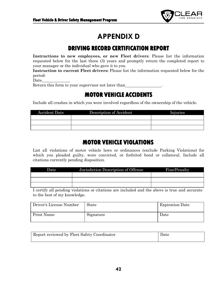

# **APPENDIX D**

# **DRIVING RECORD CERTIFICATION REPORT**

<span id="page-41-1"></span><span id="page-41-0"></span>**Instructions to new employees, or new Fleet drivers**: Please list the information requested below for the last three (3) years and promptly return the completed report to your manager or the individual who gave it to you.

**Instruction to current Fleet drivers:** Please list the information requested below for the period:

Date\_

<span id="page-41-2"></span>Return this form to your supervisor not later than

## **MOTOR VEHICLE ACCIDENTS**

Include all crashes in which you were involved regardless of the ownership of the vehicle.

| <b>Accident Date</b> | Description of Accident | Injuries |
|----------------------|-------------------------|----------|
|                      |                         |          |
|                      |                         |          |
|                      |                         |          |

## **MOTOR VEHICLE VIOLATIONS**

<span id="page-41-3"></span>List all violations of motor vehicle laws or ordinances (exclude Parking Violations) for which you pleaded guilty, were convicted, or forfeited bond or collateral. Include all citations currently pending disposition.

| Date | Jurisdiction Description of Offense | Fine/Penalty |
|------|-------------------------------------|--------------|
|      |                                     |              |
|      |                                     |              |
|      |                                     |              |

I certify all pending violations or citations are included and the above is true and accurate to the best of my knowledge.

| Driver's License Number | State     | <b>Expiration Date</b> |
|-------------------------|-----------|------------------------|
| <b>Print Name</b>       | Signature | Date                   |

| Report reviewed by Fleet Safety Coordinator | Date |
|---------------------------------------------|------|
|                                             |      |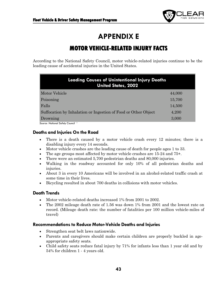

# **APPENDIX E**

# **MOTOR VEHICLE-RELATED INJURY FACTS**

<span id="page-42-1"></span><span id="page-42-0"></span>According to the National Safety Council, motor vehicle-related injuries continue to be the leading cause of accidental injuries in the United States.

| <b>Leading Causes of Unintentional Injury Deaths</b><br><b>United States, 2002</b> |        |
|------------------------------------------------------------------------------------|--------|
| Motor Vehicle                                                                      | 44,000 |
| Poisoning                                                                          | 15,700 |
| Falls                                                                              | 14,500 |
| Suffocation by Inhalation or Ingestion of Food or Other Object                     | 4,200  |
| Drowning                                                                           | 3,000  |
| Source: National Safety Council                                                    |        |

### **Deaths and Injuries On the Road**

- There is a death caused by a motor vehicle crash every 12 minutes; there is a disabling injury every 14 seconds.
- Motor vehicle crashes are the leading cause of death for people ages 1 to 33.
- The age groups most affected by motor vehicle crashes are 15-24 and 75+.
- There were an estimated 5,700 pedestrian deaths and 80,000 injuries.
- Walking in the roadway accounted for only 10% of all pedestrian deaths and injuries.
- About 3 in every 10 Americans will be involved in an alcohol-related traffic crash at some time in their lives.
- Bicycling resulted in about 700 deaths in collisions with motor vehicles.

### **Death Trends**

- Motor vehicle-related deaths increased 1% from 2001 to 2002.
- The 2002 mileage death rate of 1.56 was down 1% from 2001 and the lowest rate on record. (Mileage death rate: the number of fatalities per 100 million vehicle-miles of travel)

### **Recommendations to Reduce Motor-Vehicle Deaths and Injuries**

- Strengthen seat belt laws nationwide.
- Parents and caregivers should make certain children are properly buckled in ageappropriate safety seats.
- Child safety seats reduce fatal injury by 71% for infants less than 1 year old and by 54% for children 1 - 4 years old.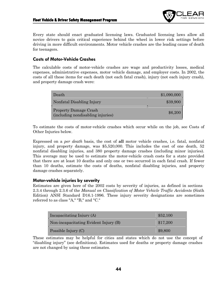

Every state should enact graduated licensing laws. Graduated licensing laws allow all novice drivers to gain critical experience behind the wheel in lower risk settings before driving in more difficult environments. Motor vehicle crashes are the leading cause of death for teenagers.

### **Costs of Motor-Vehicle Crashes**

The calculable costs of motor-vehicle crashes are wage and productivity losses, medical expenses, administrative expenses, motor vehicle damage, and employer costs. In 2002, the costs of all these items for each death (not each fatal crash), injury (not each injury crash), and property damage crash were:

| Death                                                             | \$1,090,000 |
|-------------------------------------------------------------------|-------------|
| Nonfatal Disabling Injury                                         | \$39,900    |
| <b>Property Damage Crash</b><br>(including nondisabling injuries) | \$6,200     |

To estimate the costs of motor-vehicle crashes which occur while on the job, see Costs of Other Injuries below.

Expressed on a *per death* basis, the cost of **all** motor vehicle crashes, i.e. fatal, nonfatal injury, and property damage, was \$5,520,000. This includes the cost of one death, 52 nonfatal disabling injuries, and 380 property damage crashes (including minor injuries). This average may be used to estimate the motor-vehicle crash costs for a state provided that there are at least 10 deaths and only one or two occurred in each fatal crash. If fewer than 10 deaths, estimate the costs of deaths, nonfatal disabling injuries, and property damage crashes separately.

### **Motor-vehicle injuries by severity**

Estimates are given here of the 2002 costs by severity of injuries, as defined in sections 2.3.4 through 2.3.6 of the *Manual on Classification of Motor Vehicle Traffic Accidents* (Sixth Edition) ANSI Standard D16.1-1996. These injury severity designations are sometimes referred to as class "A," "B," and "C."

| Incapacitating Injury (A)             | \$52.100 |  |  |
|---------------------------------------|----------|--|--|
| Non-incapacitating Evident Injury (B) | \$17,200 |  |  |
| Possible Injury (C)                   | \$9,800  |  |  |

These estimates may be helpful for cities and states which do not use the concept of "disabling injury" (see definitions). Estimates used for deaths or property damage crashes are not changed by using these estimates.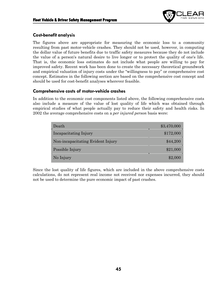

### **Cost-benefit analysis**

The figures above are appropriate for measuring the economic loss to a community resulting from past motor-vehicle crashes. They should not be used, however, in computing the dollar value of future benefits due to traffic safety measures because they do not include the value of a person's natural desire to live longer or to protect the quality of one's life. That is, the economic loss estimates do not include what people are willing to pay for improved safety. Recent work has been done to create the necessary theoretical groundwork and empirical valuation of injury costs under the "willingness to pay" or comprehensive cost concept. Estimates in the following section are based on the comprehensive cost concept and should be used for cost-benefit analyses wherever feasible.

### **Comprehensive costs of motor-vehicle crashes**

In addition to the economic cost components listed above, the following comprehensive costs also include a measure of the value of lost quality of life which was obtained through empirical studies of what people actually pay to reduce their safety and health risks. In 2002 the average comprehensive costs on a *per injured person* basis were:

| Death                             | \$3,470,000 |
|-----------------------------------|-------------|
| Incapacitating Injury             | \$172,000   |
| Non-incapacitating Evident Injury | \$44,200    |
| Possible Injury                   | \$21,000    |
| No Injury                         | \$2,000     |

Since the lost quality of life figures, which are included in the above comprehensive costs calculations, do not represent real income not received nor expenses incurred, they should not be used to determine the pure economic impact of past crashes.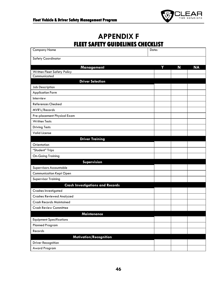

# **APPENDIX F FLEET SAFETY GUIDELINES CHECKLIST**

<span id="page-45-1"></span><span id="page-45-0"></span>

| <b>Company Name</b><br>Date:                     |  |   |   |           |
|--------------------------------------------------|--|---|---|-----------|
| <b>Safety Coordinator</b>                        |  |   |   |           |
|                                                  |  | Y | N | <b>NA</b> |
| <b>Management</b><br>Written Fleet Safety Policy |  |   |   |           |
| Communicated                                     |  |   |   |           |
| <b>Driver Selection</b>                          |  |   |   |           |
| Job Description                                  |  |   |   |           |
| <b>Application Form</b>                          |  |   |   |           |
| Interview                                        |  |   |   |           |
| References Checked                               |  |   |   |           |
| MVR's/Records                                    |  |   |   |           |
| Pre-placement Physical Exam                      |  |   |   |           |
| <b>Written Tests</b>                             |  |   |   |           |
| <b>Driving Tests</b>                             |  |   |   |           |
| Valid License                                    |  |   |   |           |
| <b>Driver Training</b>                           |  |   |   |           |
| Orientation                                      |  |   |   |           |
| "Student" Trips                                  |  |   |   |           |
| <b>On-Going Training</b>                         |  |   |   |           |
| Supervision                                      |  |   |   |           |
| Supervisors Accountable                          |  |   |   |           |
| <b>Communication Kept Open</b>                   |  |   |   |           |
| <b>Supervisor Training</b>                       |  |   |   |           |
| <b>Crash Investigations and Records</b>          |  |   |   |           |
| Crashes Investigated                             |  |   |   |           |
| <b>Crashes Reviewed Analyzed</b>                 |  |   |   |           |
| <b>Crash Records Maintained</b>                  |  |   |   |           |
| <b>Crash Review Committee</b>                    |  |   |   |           |
| <b>Maintenance</b>                               |  |   |   |           |
| <b>Equipment Specifications</b>                  |  |   |   |           |
| <b>Planned Program</b>                           |  |   |   |           |
| Records                                          |  |   |   |           |
| Motivation/Recognition                           |  |   |   |           |
| Driver Recognition                               |  |   |   |           |
| Award Program                                    |  |   |   |           |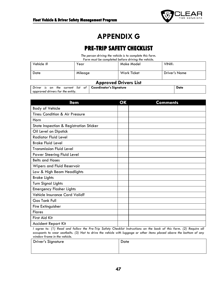

# **APPENDIX G**

## **PRE-TRIP SAFETY CHECKLIST**

*The person driving the vehicle is to complete this form.*

*Form must be completed before driving the vehicle.*

<span id="page-46-1"></span><span id="page-46-0"></span>

| Vehicle $#$<br>Date          | Year<br>Mileage | Make Model<br><b>Work Ticket</b> | VINH:<br><b>Driver's Name</b> |  |
|------------------------------|-----------------|----------------------------------|-------------------------------|--|
|                              |                 |                                  |                               |  |
| <b>Approved Drivers List</b> |                 |                                  |                               |  |

|  |  |  |                                  |  |  | Driver is on the current list of   Coordinator's Signature | Date |
|--|--|--|----------------------------------|--|--|------------------------------------------------------------|------|
|  |  |  | approved drivers for the entity. |  |  |                                                            |      |

| <b>Item</b>                             | OK | <b>Comments</b> |
|-----------------------------------------|----|-----------------|
| <b>Body of Vehicle</b>                  |    |                 |
| Tires: Condition & Air Pressure         |    |                 |
| Horn                                    |    |                 |
| State Inspection & Registration Sticker |    |                 |
| Oil Level on Dipstick                   |    |                 |
| <b>Radiator Fluid Level</b>             |    |                 |
| <b>Brake Fluid Level</b>                |    |                 |
| <b>Transmission Fluid Level</b>         |    |                 |
| Power Steering Fluid Level              |    |                 |
| <b>Belts and Hoses</b>                  |    |                 |
| Wipers and Fluid Reservoir              |    |                 |
| Low & High Beam Headlights              |    |                 |
| <b>Brake Lights</b>                     |    |                 |
| <b>Turn Signal Lights</b>               |    |                 |
| <b>Emergency Flasher Lights</b>         |    |                 |
| Vehicle Insurance Card Valid?           |    |                 |
| <b>Gas Tank Full</b>                    |    |                 |
| Fire Extinguisher                       |    |                 |
| <b>Flares</b>                           |    |                 |
| First Aid Kit                           |    |                 |
| Accident Report Kit                     |    |                 |

I agree to: (1) Read and follow the Pre-Trip Safety Checklist Instructions on the back of this form. (2) Require all occupants to wear seatbelts. (3) Not to drive the vehicle with luggage or other items placed above the bottom of any *window frame in the vehicle.*

| <b>Driver's Signature</b> | Date |
|---------------------------|------|
|                           |      |
|                           |      |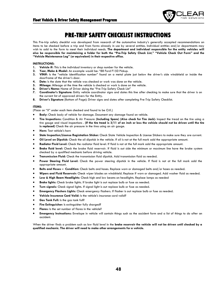

## **PRE-TRIP SAFETY CHECKLISTINSTRUCTIONS**

<span id="page-47-0"></span>This Pre-trip safety checklist was developed from research of the automotive industry's generally accepted recommendations on items to be checked before a trip and from forms already in use by several entities. Individual entities and/or departments may wish to add to the form to meet their individual needs. **The department and individual responsible for the entity vehicles will** also be responsible for maintaining a folder for both the "Pre-Trip Safety Check List," "Vehicle Check Out Form" and the **"Vehicle Maintenance Log" (or equivalent) in their respective office.**

#### **INSTRUCTIONS:**

- **1. Vehicle #:** This is the individual inventory or shop number for the vehicle.
- **2. Year, Make & Model:** An example would be: "88 Ford F150 Pickup.
- **3. VIN#:** Is the "vehicle identification number" found on a metal plate just below the driver's side windshield or inside the doorframe of the driver's door.
- **4. Date:** Is the date that the vehicle was checked or work was done on the vehicle.
- **5. Mileage:** Mileage at the time the vehicle is checked or work is done on the vehicle.
- 
- **6. Driver's Name:** Name of Driver doing the "Pre-Trip Safety Check List" **7. Coordinator's Signature:** Entity vehicle coordinator signs and dates this line after checking to make sure that the driver is on the current list of approved drivers for the Entity.
- **8. Driver's Signature** (Bottom of Page): Driver signs and dates after completing Pre-Trip Safety Checklist.

#### **ITEMS:**

(Place an "X" under each item checked and found to be O.K.)

- **Body:** Check body of vehicle for damage. Document any damage found on vehicle.
- **Tire Inspections:** Condition & Air Pressure **(Including Spare) (Also check for Tire Jack)**: Inspect the tread on the tire using a tire gauge and visual inspections. (If the tire tread is 3/11 of an inch or less the vehicle should not be driven until the tire **is replaced)** Check the air pressure in the tires using an air gauge.
- **Horn:** Test vehicle's horn
- **State Inspection/License Registration Sticker:** Check State Vehicle Inspection & License Stickers to make sure they are current.
- **Oil Level on Dipstick:** Check the oil dipstick in the vehicle. If oil is not at the full mark add the appropriate amount.
- **Radiator Fluid Level:** Check the radiator fluid level. If fluid is not at the full mark add the appropriate amount.
- **Brake fluid level:** Check the brake fluid reservoir. If fluid is out side the minimum or maximum line have the brake system checked by a qualified mechanic before driving vehicle.
- **Transmission Fluid:** Check the transmission fluid dipstick. Add transmission fluid as needed.
- **Power Steering Fluid Level:** Check the power steering dipstick in the vehicle. If fluid is not at the full mark add the appropriate amount.
- **Belts and Hoses – Condition:** Check belts and hoses. Replace worn or damaged belts and/or hoses as needed.
- **Wipers and Fluid Reservoir:** Check wiper blades on windshield. Replace if worn or damaged. Add washer fluid as needed.
- **Low & High Beam Headlights:** Check high and low beams on headlights. Replace lamps as needed
- **Brake lights:** Check brake lights. If brake light is out replace bulb or fuse as needed.
- **Turn signals:** Check signal lights. If signal light is out replace bulb or fuse as needed.
- **Emergency Flashers Lights:** Check emergency flashers. If flasher is out replace bulb or fuse as needed.
- **Vehicle Insurance Card Valid:** Is the vehicle's insurance card valid?
- **Gas Tank Full:** Is the gas tank full?
- **Fire Extinguisher:** Is extinguisher fully charged?
- **Flares:** Is the set number of flares in the vehicle?
- **Emergency Instructions:** Envelope in vehicle will contain things such as the accident form and a list of things to do after an accident.

When the driver finds a problem such as low fluid level in the **brake reservoir the vehicle will not be driven until checked by a qualified mechanic. The driver will need to make other arrangements for a vehicle.**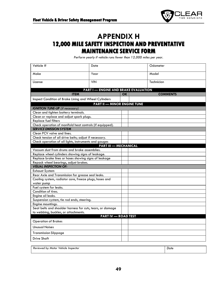

## <span id="page-48-0"></span>**APPENDIX H 12,000 MILE SAFETY INSPECTION AND PREVENTATIVE MAINTENANCE SERVICE FORM**

*Perform yearly if vehicle runs fewer than 12,000 miles per year.*

<span id="page-48-1"></span>

| Vehicle #                                                                                          | Date                                        |           | Odometer        |
|----------------------------------------------------------------------------------------------------|---------------------------------------------|-----------|-----------------|
| Make                                                                                               | Year                                        |           | Model           |
| License                                                                                            | <b>VIN</b>                                  |           | Technician      |
|                                                                                                    | <b>PART I — ENGINE AND BRAKE EVALUATION</b> |           |                 |
| <b>ITEM</b>                                                                                        |                                             | <b>OK</b> | <b>COMMENTS</b> |
| Inspect Condition of Brake Lining and Wheel Cylinders                                              |                                             |           |                 |
|                                                                                                    | <b>PART II - MINOR ENGINE TUNE</b>          |           |                 |
| <b>IGNITION TUNE-UP</b> (if necessary)                                                             |                                             |           |                 |
| Clean and tighten battery terminals.                                                               |                                             |           |                 |
| Clean or replace and adjust spark plugs.                                                           |                                             |           |                 |
| <b>Replace fuel filters</b>                                                                        |                                             |           |                 |
| Check operation of manifold heat controls (if equipped).                                           |                                             |           |                 |
| <b>SERVICE EMISSION SYSTEM</b>                                                                     |                                             |           |                 |
| Clean PCV valve and lines.                                                                         |                                             |           |                 |
| Check tension of all drive belts; adjust if necessary.                                             |                                             |           |                 |
| Check operation of all lights, instruments and gauges                                              | <b>PART III - MECHANICAL</b>                |           |                 |
| Vacuum dust from drums and brake assemblies.                                                       |                                             |           |                 |
| Replace wheel cylinders showing signs of leakage.                                                  |                                             |           |                 |
| Replace brake lines or hoses showing signs of leakage                                              |                                             |           |                 |
| Repack wheel bearings, adjust brakes.                                                              |                                             |           |                 |
| <b>VISUAL INSPECTION OF:</b>                                                                       |                                             |           |                 |
| <b>Exhaust System</b>                                                                              |                                             |           |                 |
| Rear Axle and Transmission for grease seal leaks.                                                  |                                             |           |                 |
| Cooling system, radiator core, freeze plugs, hoses and                                             |                                             |           |                 |
| water pump                                                                                         |                                             |           |                 |
| Fuel system for leaks.                                                                             |                                             |           |                 |
| Condition of tires.                                                                                |                                             |           |                 |
| Engine oil leaks.                                                                                  |                                             |           |                 |
| Suspension system, tie rod ends, steering.                                                         |                                             |           |                 |
| Engine mountings.                                                                                  |                                             |           |                 |
| Seat belts and shoulder harness for cuts, tears, or damage<br>to webbing, buckles, or attachments. |                                             |           |                 |
|                                                                                                    | <b>PART IV - ROAD TEST</b>                  |           |                 |
| <b>Operation of Brakes</b>                                                                         |                                             |           |                 |
| <b>Unusual Noises</b>                                                                              |                                             |           |                 |
|                                                                                                    |                                             |           |                 |
| <b>Transmission Slippage</b>                                                                       |                                             |           |                 |
| <b>Drive Shaft</b>                                                                                 |                                             |           |                 |
|                                                                                                    |                                             |           |                 |

| Reviewed by Motor Vehicle Inspector<br>.<br>. | Date<br>___ |
|-----------------------------------------------|-------------|
|                                               |             |